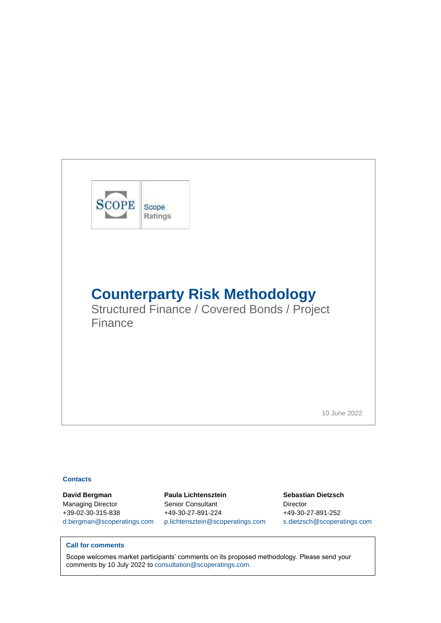

#### **Contacts**

**David Bergman Paula Lichtensztein Sebastian Dietzsch** Managing Director Senior Consultant Director +39-02-30-315-838 +49-30-27-891-224 +49-30-27-891-252 [d.bergman@scoperatings.com](mailto:d.bergman@scoperatings.com) [p.lichtensztein@scoperatings.com](mailto:p.lichtensztein@scoperatings.com) [s.dietzsch@scoperatings.com](mailto:s.dietzsch@scoperatings.com)

#### **Call for comments**

Scope welcomes market participants' comments on its proposed methodology. Please send your comments by 10 July 2022 to [consultation@scoperatings.com.](mailto:consultation@scoperatings.com)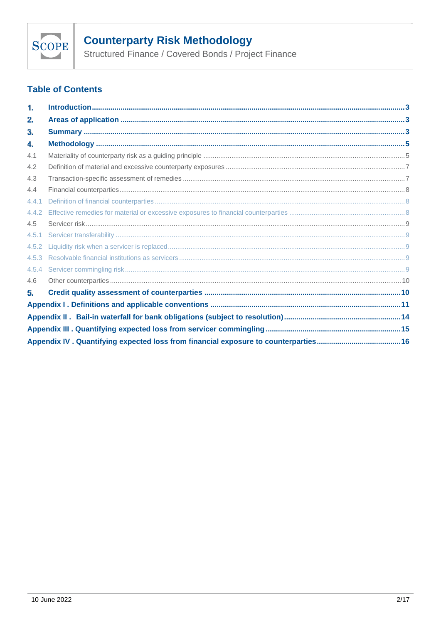

# **Counterparty Risk Methodology<br>Structured Finance / Covered Bonds / Project Finance**

## **Table of Contents**

| 1.    |  |
|-------|--|
| 2.    |  |
| З.    |  |
| 4.    |  |
| 4.1   |  |
| 4.2   |  |
| 4.3   |  |
| 4.4   |  |
| 4.4.1 |  |
| 4.4.2 |  |
| 4.5   |  |
| 4.5.1 |  |
| 4.5.2 |  |
| 4.5.3 |  |
| 4.5.4 |  |
| 4.6   |  |
| 5.    |  |
|       |  |
|       |  |
|       |  |
|       |  |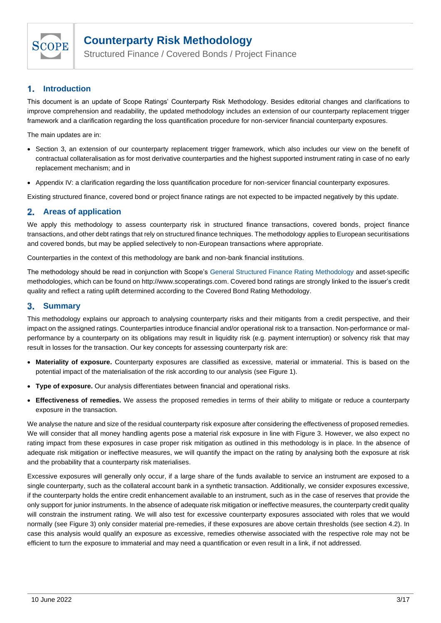

Structured Finance / Covered Bonds / Project Finance

#### <span id="page-2-0"></span> $\mathbf{1}$ . **Introduction**

This document is an update of Scope Ratings' Counterparty Risk Methodology. Besides editorial changes and clarifications to improve comprehension and readability, the updated methodology includes an extension of our counterparty replacement trigger framework and a clarification regarding the loss quantification procedure for non-servicer financial counterparty exposures.

The main updates are in:

- Section 3, an extension of our counterparty replacement trigger framework, which also includes our view on the benefit of contractual collateralisation as for most derivative counterparties and the highest supported instrument rating in case of no early replacement mechanism; and in
- Appendix IV: a clarification regarding the loss quantification procedure for non-servicer financial counterparty exposures.

Existing structured finance, covered bond or project finance ratings are not expected to be impacted negatively by this update.

#### <span id="page-2-1"></span>**Areas of application** 2.

We apply this methodology to assess counterparty risk in structured finance transactions, covered bonds, project finance transactions, and other debt ratings that rely on structured finance techniques. The methodology applies to European securitisations and covered bonds, but may be applied selectively to non-European transactions where appropriate.

Counterparties in the context of this methodology are bank and non-bank financial institutions.

The methodology should be read in conjunction with Scope's [General Structured Finance Rating Methodology](https://www.scoperatings.com/#methodology/list) and asset-specific methodologies, which can be found o[n http://www.scoperatings.com.](http://www.scoperatings.com/) Covered bond ratings are strongly linked to the issuer's credit quality and reflect a rating uplift determined according to the [Covered Bond Rating Methodology.](https://www.scoperatings.com/ScopeRatingsApi/api/downloadmethodology?id=d5a3b796-eabd-428f-b925-dbf174edc409)

#### <span id="page-2-2"></span>3. **Summary**

This methodology explains our approach to analysing counterparty risks and their mitigants from a credit perspective, and their impact on the assigned ratings. Counterparties introduce financial and/or operational risk to a transaction. Non-performance or malperformance by a counterparty on its obligations may result in liquidity risk (e.g. payment interruption) or solvency risk that may result in losses for the transaction. Our key concepts for assessing counterparty risk are:

- **Materiality of exposure.** Counterparty exposures are classified as excessive, material or immaterial. This is based on the potential impact of the materialisation of the risk according to our analysis (see [Figure 1\)](#page-3-0).
- **Type of exposure.** Our analysis differentiates between financial and operational risks.
- **Effectiveness of remedies.** We assess the proposed remedies in terms of their ability to mitigate or reduce a counterparty exposure in the transaction.

We analyse the nature and size of the residual counterparty risk exposure after considering the effectiveness of proposed remedies. We will consider that all money handling agents pose a material risk exposure in line with [Figure 3.](#page-5-0) However, we also expect no rating impact from these exposures in case proper risk mitigation as outlined in this methodology is in place. In the absence of adequate risk mitigation or ineffective measures, we will quantify the impact on the rating by analysing both the exposure at risk and the probability that a counterparty risk materialises.

Excessive exposures will generally only occur, if a large share of the funds available to service an instrument are exposed to a single counterparty, such as the collateral account bank in a synthetic transaction. Additionally, we consider exposures excessive, if the counterparty holds the entire credit enhancement available to an instrument, such as in the case of reserves that provide the only support for junior instruments. In the absence of adequate risk mitigation or ineffective measures, the counterparty credit quality will constrain the instrument rating. We will also test for excessive counterparty exposures associated with roles that we would normally (se[e Figure 3\)](#page-5-0) only consider material pre-remedies, if these exposures are above certain thresholds (see sectio[n 4.2\)](#page-6-0). In case this analysis would qualify an exposure as excessive, remedies otherwise associated with the respective role may not be efficient to turn the exposure to immaterial and may need a quantification or even result in a link, if not addressed.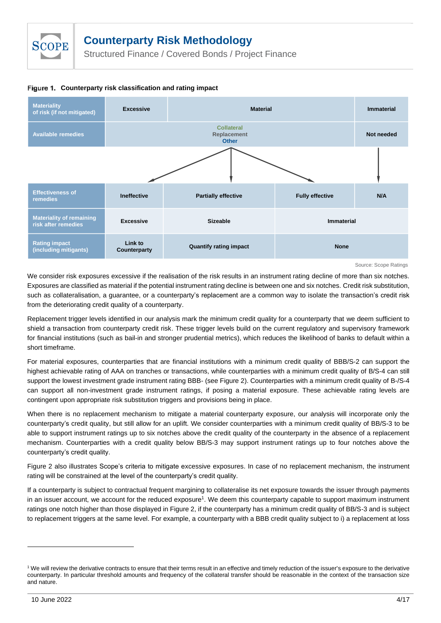Structured Finance / Covered Bonds / Project Finance

<span id="page-3-0"></span>



Source: Scope Ratings

We consider risk exposures excessive if the realisation of the risk results in an instrument rating decline of more than six notches. Exposures are classified as material if the potential instrument rating decline is between one and six notches. Credit risk substitution, such as collateralisation, a guarantee, or a counterparty's replacement are a common way to isolate the transaction's credit risk from the deteriorating credit quality of a counterparty.

Replacement trigger levels identified in our analysis mark the minimum credit quality for a counterparty that we deem sufficient to shield a transaction from counterparty credit risk. These trigger levels build on the current regulatory and supervisory framework for financial institutions (such as bail-in and stronger prudential metrics), which reduces the likelihood of banks to default within a short timeframe.

For material exposures, counterparties that are financial institutions with a minimum credit quality of BBB/S-2 can support the highest achievable rating of AAA on tranches or transactions, while counterparties with a minimum credit quality of B/S-4 can still support the lowest investment grade instrument rating BBB- (see [Figure 2\)](#page-4-2). Counterparties with a minimum credit quality of B-/S-4 can support all non-investment grade instrument ratings, if posing a material exposure. These achievable rating levels are contingent upon appropriate risk substitution triggers and provisions being in place.

When there is no replacement mechanism to mitigate a material counterparty exposure, our analysis will incorporate only the counterparty's credit quality, but still allow for an uplift. We consider counterparties with a minimum credit quality of BB/S-3 to be able to support instrument ratings up to six notches above the credit quality of the counterparty in the absence of a replacement mechanism. Counterparties with a credit quality below BB/S-3 may support instrument ratings up to four notches above the counterparty's credit quality.

Figure 2 also illustrates Scope's criteria to mitigate excessive exposures. In case of no replacement mechanism, the instrument rating will be constrained at the level of the counterparty's credit quality.

If a counterparty is subject to contractual frequent margining to collateralise its net exposure towards the issuer through payments in an issuer account, we account for the reduced exposure<sup>1</sup>. We deem this counterparty capable to support maximum instrument ratings one notch higher than those displayed i[n Figure 2,](#page-4-2) if the counterparty has a minimum credit quality of BB/S-3 and is subject to replacement triggers at the same level. For example, a counterparty with a BBB credit quality subject to i) a replacement at loss

<sup>1</sup> We will review the derivative contracts to ensure that their terms result in an effective and timely reduction of the issuer's exposure to the derivative counterparty. In particular threshold amounts and frequency of the collateral transfer should be reasonable in the context of the transaction size and nature.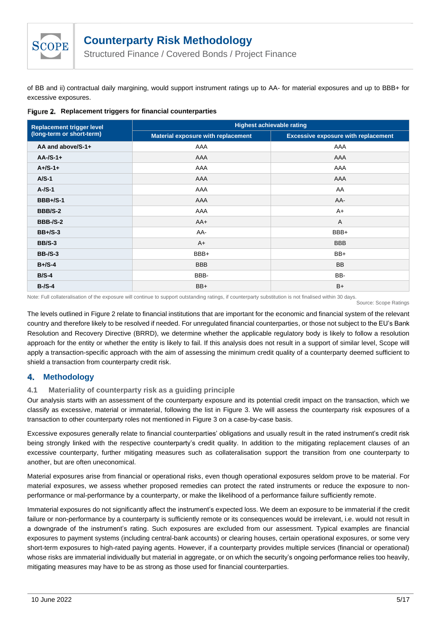

Structured Finance / Covered Bonds / Project Finance

of BB and ii) contractual daily margining, would support instrument ratings up to AA- for material exposures and up to BBB+ for excessive exposures.

<span id="page-4-2"></span>**Replacement triggers for financial counterparties**

| <b>Replacement trigger level</b> | <b>Highest achievable rating</b>          |                                            |  |
|----------------------------------|-------------------------------------------|--------------------------------------------|--|
| (long-term or short-term)        | <b>Material exposure with replacement</b> | <b>Excessive exposure with replacement</b> |  |
| AA and above/S-1+                | AAA                                       | AAA                                        |  |
| $AA$ -/S-1+                      | AAA                                       | AAA                                        |  |
| $A + /S - 1 +$                   | AAA                                       | AAA                                        |  |
| $A/S-1$                          | AAA                                       | AAA                                        |  |
| $A$ -/S-1                        | AAA                                       | AA                                         |  |
| <b>BBB+/S-1</b>                  | AAA                                       | AA-                                        |  |
| <b>BBB/S-2</b>                   | AAA                                       | $A+$                                       |  |
| <b>BBB-/S-2</b>                  | $AA+$                                     | A                                          |  |
| $BB + / S - 3$                   | AA-                                       | BBB+                                       |  |
| <b>BB/S-3</b>                    | $A+$                                      | <b>BBB</b>                                 |  |
| <b>BB-/S-3</b>                   | BBB+                                      | BB+                                        |  |
| $B + / S - 4$                    | <b>BBB</b>                                | <b>BB</b>                                  |  |
| $B/S-4$                          | BBB-                                      | BB-                                        |  |
| $B-S-4$                          | $BB+$                                     | $B+$                                       |  |

Note: Full collateralisation of the exposure will continue to support outstanding ratings, if counterparty substitution is not finalised within 30 days.

The levels outlined in [Figure 2](#page-4-2) relate to financial institutions that are important for the economic and financial system of the relevant country and therefore likely to be resolved if needed. For unregulated financial counterparties, or those not subject to the EU's Bank Resolution and Recovery Directive (BRRD), we determine whether the applicable regulatory body is likely to follow a resolution approach for the entity or whether the entity is likely to fail. If this analysis does not result in a support of similar level, Scope will apply a transaction-specific approach with the aim of assessing the minimum credit quality of a counterparty deemed sufficient to shield a transaction from counterparty credit risk.

#### <span id="page-4-0"></span>4. **Methodology**

### <span id="page-4-1"></span>**4.1 Materiality of counterparty risk as a guiding principle**

Our analysis starts with an assessment of the counterparty exposure and its potential credit impact on the transaction, which we classify as excessive, material or immaterial, following the list in [Figure 3.](#page-5-0) We will assess the counterparty risk exposures of a transaction to other counterparty roles not mentioned in [Figure 3](#page-5-0) on a case-by-case basis.

Excessive exposures generally relate to financial counterparties' obligations and usually result in the rated instrument's credit risk being strongly linked with the respective counterparty's credit quality. In addition to the mitigating replacement clauses of an excessive counterparty, further mitigating measures such as collateralisation support the transition from one counterparty to another, but are often uneconomical.

Material exposures arise from financial or operational risks, even though operational exposures seldom prove to be material. For material exposures, we assess whether proposed remedies can protect the rated instruments or reduce the exposure to nonperformance or mal-performance by a counterparty, or make the likelihood of a performance failure sufficiently remote.

Immaterial exposures do not significantly affect the instrument's expected loss. We deem an exposure to be immaterial if the credit failure or non-performance by a counterparty is sufficiently remote or its consequences would be irrelevant, i.e. would not result in a downgrade of the instrument's rating. Such exposures are excluded from our assessment. Typical examples are financial exposures to payment systems (including central-bank accounts) or clearing houses, certain operational exposures, or some very short-term exposures to high-rated paying agents. However, if a counterparty provides multiple services (financial or operational) whose risks are immaterial individually but material in aggregate, or on which the security's ongoing performance relies too heavily, mitigating measures may have to be as strong as those used for financial counterparties.

Source: Scope Ratings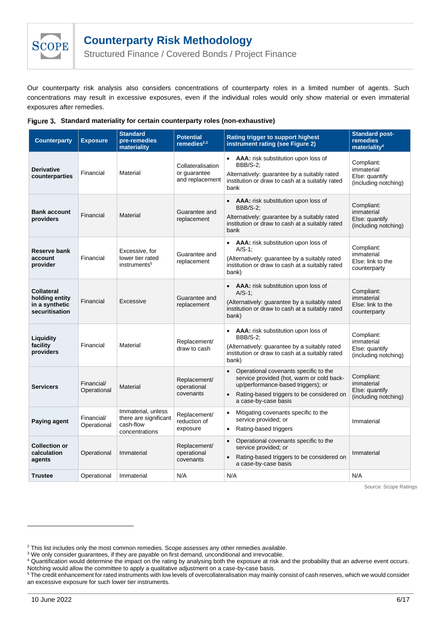

Structured Finance / Covered Bonds / Project Finance

Our counterparty risk analysis also considers concentrations of counterparty roles in a limited number of agents. Such concentrations may result in excessive exposures, even if the individual roles would only show material or even immaterial exposures after remedies.

| <b>Counterparty</b>                                              | <b>Exposure</b>           | <b>Standard</b><br>pre-remedies<br>materiality                             | <b>Potential</b><br>remedies $2,3$                   | Rating trigger to support highest<br>instrument rating (see Figure 2)                                                                                                                                                   | <b>Standard post-</b><br>remedies<br>materiality <sup>4</sup>      |
|------------------------------------------------------------------|---------------------------|----------------------------------------------------------------------------|------------------------------------------------------|-------------------------------------------------------------------------------------------------------------------------------------------------------------------------------------------------------------------------|--------------------------------------------------------------------|
| <b>Derivative</b><br>counterparties                              | Financial                 | Material                                                                   | Collateralisation<br>or quarantee<br>and replacement | • <b>AAA:</b> risk substitution upon loss of<br><b>BBB/S-2:</b><br>Alternatively: guarantee by a suitably rated<br>institution or draw to cash at a suitably rated<br>bank                                              | Compliant:<br>immaterial<br>Else: quantify<br>(including notching) |
| <b>Bank account</b><br>providers                                 | Financial                 | Material                                                                   | Guarantee and<br>replacement                         | • <b>AAA:</b> risk substitution upon loss of<br><b>BBB/S-2:</b><br>Alternatively: guarantee by a suitably rated<br>institution or draw to cash at a suitably rated<br>bank                                              | Compliant:<br>immaterial<br>Else: quantify<br>(including notching) |
| Reserve bank<br>account<br>provider                              | Financial                 | Excessive, for<br>lower tier rated<br>instruments <sup>5</sup>             | Guarantee and<br>replacement                         | • <b>AAA:</b> risk substitution upon loss of<br>$A/S-1$ :<br>(Alternatively: guarantee by a suitably rated<br>institution or draw to cash at a suitably rated<br>bank)                                                  | Compliant:<br>immaterial<br>Else: link to the<br>counterparty      |
| Collateral<br>holding entity<br>in a synthetic<br>securitisation | Financial                 | Excessive                                                                  | Guarantee and<br>replacement                         | • <b>AAA:</b> risk substitution upon loss of<br>$A/S-1$ ;<br>(Alternatively: guarantee by a suitably rated<br>institution or draw to cash at a suitably rated<br>bank)                                                  | Compliant:<br>immaterial<br>Else: link to the<br>counterparty      |
| Liquidity<br>facility<br>providers                               | Financial                 | Material                                                                   | Replacement/<br>draw to cash                         | AAA: risk substitution upon loss of<br><b>BBB/S-2:</b><br>(Alternatively: guarantee by a suitably rated<br>institution or draw to cash at a suitably rated<br>bank)                                                     | Compliant:<br>immaterial<br>Else: quantify<br>(including notching) |
| <b>Servicers</b>                                                 | Financial/<br>Operational | Material                                                                   | Replacement/<br>operational<br>covenants             | Operational covenants specific to the<br>$\bullet$<br>service provided (hot, warm or cold back-<br>up/performance-based triggers); or<br>Rating-based triggers to be considered on<br>$\bullet$<br>a case-by-case basis | Compliant:<br>immaterial<br>Else: quantify<br>(including notching) |
| <b>Paying agent</b>                                              | Financial/<br>Operational | Immaterial, unless<br>there are significant<br>cash-flow<br>concentrations | Replacement/<br>reduction of<br>exposure             | Mitigating covenants specific to the<br>$\bullet$<br>service provided; or<br>Rating-based triggers<br>$\bullet$                                                                                                         | Immaterial                                                         |
| <b>Collection or</b><br>calculation<br>agents                    | Operational               | Immaterial                                                                 | Replacement/<br>operational<br>covenants             | Operational covenants specific to the<br>$\bullet$<br>service provided; or<br>Rating-based triggers to be considered on<br>$\bullet$<br>a case-by-case basis                                                            | Immaterial                                                         |
| <b>Trustee</b>                                                   | Operational               | Immaterial                                                                 | N/A                                                  | N/A                                                                                                                                                                                                                     | N/A                                                                |

<span id="page-5-0"></span>

|  | Figure 3. Standard materiality for certain counterparty roles (non-exhaustive) |  |  |  |
|--|--------------------------------------------------------------------------------|--|--|--|
|--|--------------------------------------------------------------------------------|--|--|--|

Source: Scope Ratings

<sup>&</sup>lt;sup>2</sup> This list includes only the most common remedies. Scope assesses any other remedies available.

<sup>&</sup>lt;sup>3</sup> We only consider guarantees, if they are payable on first demand, unconditional and irrevocable.

<sup>&</sup>lt;sup>4</sup> Quantification would determine the impact on the rating by analysing both the exposure at risk and the probability that an adverse event occurs. Notching would allow the committee to apply a qualitative adjustment on a case-by-case basis.

<sup>5</sup> The credit enhancement for rated instruments with low levels of overcollateralisation may mainly consist of cash reserves, which we would consider an excessive exposure for such lower tier instruments.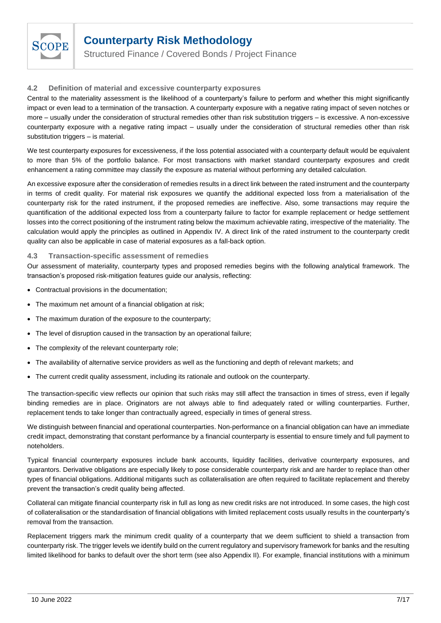

Structured Finance / Covered Bonds / Project Finance

#### <span id="page-6-0"></span>**4.2 Definition of material and excessive counterparty exposures**

Central to the materiality assessment is the likelihood of a counterparty's failure to perform and whether this might significantly impact or even lead to a termination of the transaction. A counterparty exposure with a negative rating impact of seven notches or more – usually under the consideration of structural remedies other than risk substitution triggers – is excessive. A non-excessive counterparty exposure with a negative rating impact – usually under the consideration of structural remedies other than risk substitution triggers – is material.

We test counterparty exposures for excessiveness, if the loss potential associated with a counterparty default would be equivalent to more than 5% of the portfolio balance. For most transactions with market standard counterparty exposures and credit enhancement a rating committee may classify the exposure as material without performing any detailed calculation.

An excessive exposure after the consideration of remedies results in a direct link between the rated instrument and the counterparty in terms of credit quality. For material risk exposures we quantify the additional expected loss from a materialisation of the counterparty risk for the rated instrument, if the proposed remedies are ineffective. Also, some transactions may require the quantification of the additional expected loss from a counterparty failure to factor for example replacement or hedge settlement losses into the correct positioning of the instrument rating below the maximum achievable rating, irrespective of the materiality. The calculation would apply the principles as outlined in [Appendix IV.](#page-15-0) A direct link of the rated instrument to the counterparty credit quality can also be applicable in case of material exposures as a fall-back option.

#### <span id="page-6-1"></span>**4.3 Transaction-specific assessment of remedies**

Our assessment of materiality, counterparty types and proposed remedies begins with the following analytical framework. The transaction's proposed risk-mitigation features guide our analysis, reflecting:

- Contractual provisions in the documentation;
- The maximum net amount of a financial obligation at risk;
- The maximum duration of the exposure to the counterparty;
- The level of disruption caused in the transaction by an operational failure;
- The complexity of the relevant counterparty role;
- The availability of alternative service providers as well as the functioning and depth of relevant markets; and
- The current credit quality assessment, including its rationale and outlook on the counterparty.

The transaction-specific view reflects our opinion that such risks may still affect the transaction in times of stress, even if legally binding remedies are in place. Originators are not always able to find adequately rated or willing counterparties. Further, replacement tends to take longer than contractually agreed, especially in times of general stress.

We distinguish between financial and operational counterparties. Non-performance on a financial obligation can have an immediate credit impact, demonstrating that constant performance by a financial counterparty is essential to ensure timely and full payment to noteholders.

Typical financial counterparty exposures include bank accounts, liquidity facilities, derivative counterparty exposures, and guarantors. Derivative obligations are especially likely to pose considerable counterparty risk and are harder to replace than other types of financial obligations. Additional mitigants such as collateralisation are often required to facilitate replacement and thereby prevent the transaction's credit quality being affected.

Collateral can mitigate financial counterparty risk in full as long as new credit risks are not introduced. In some cases, the high cost of collateralisation or the standardisation of financial obligations with limited replacement costs usually results in the counterparty's removal from the transaction.

Replacement triggers mark the minimum credit quality of a counterparty that we deem sufficient to shield a transaction from counterparty risk. The trigger levels we identify build on the current regulatory and supervisory framework for banks and the resulting limited likelihood for banks to default over the short term (see als[o Appendix II\)](#page-13-1). For example, financial institutions with a minimum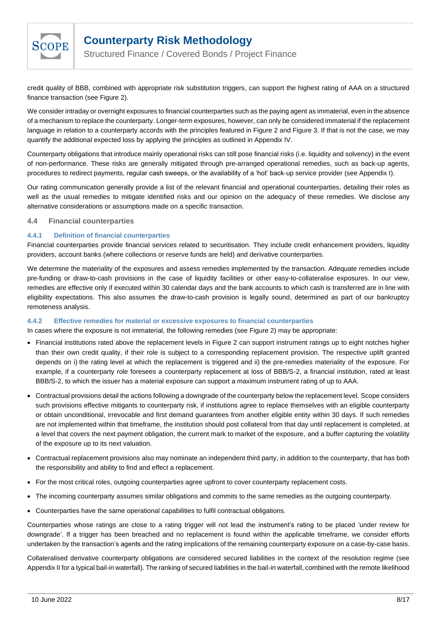

Structured Finance / Covered Bonds / Project Finance

credit quality of BBB, combined with appropriate risk substitution triggers, can support the highest rating of AAA on a structured finance transaction (see [Figure 2\)](#page-4-2).

We consider intraday or overnight exposures to financial counterparties such as the paying agent as immaterial, even in the absence of a mechanism to replace the counterparty. Longer-term exposures, however, can only be considered immaterial if the replacement language in relation to a counterparty accords with the principles featured in [Figure 2](#page-4-2) and [Figure 3.](#page-5-0) If that is not the case, we may quantify the additional expected loss by applying the principles as outlined i[n Appendix IV.](#page-15-0)

Counterparty obligations that introduce mainly operational risks can still pose financial risks (i.e. liquidity and solvency) in the event of non-performance. These risks are generally mitigated through pre-arranged operational remedies, such as back-up agents, procedures to redirect payments, regular cash sweeps, or the availability of a 'hot' back-up service provider (see [Appendix I\)](#page-10-0).

Our rating communication generally provide a list of the relevant financial and operational counterparties, detailing their roles as well as the usual remedies to mitigate identified risks and our opinion on the adequacy of these remedies. We disclose any alternative considerations or assumptions made on a specific transaction.

#### <span id="page-7-0"></span>**4.4 Financial counterparties**

#### <span id="page-7-1"></span>**4.4.1 Definition of financial counterparties**

Financial counterparties provide financial services related to securitisation. They include credit enhancement providers, liquidity providers, account banks (where collections or reserve funds are held) and derivative counterparties.

We determine the materiality of the exposures and assess remedies implemented by the transaction. Adequate remedies include pre-funding or draw-to-cash provisions in the case of liquidity facilities or other easy-to-collateralise exposures. In our view, remedies are effective only if executed within 30 calendar days and the bank accounts to which cash is transferred are in line with eligibility expectations. This also assumes the draw-to-cash provision is legally sound, determined as part of our bankruptcy remoteness analysis.

#### <span id="page-7-2"></span>**4.4.2 Effective remedies for material or excessive exposures to financial counterparties**

In cases where the exposure is not immaterial, the following remedies (see [Figure 2\)](#page-4-2) may be appropriate:

- Financial institutions rated above the replacement levels in [Figure 2](#page-4-2) can support instrument ratings up to eight notches higher than their own credit quality, if their role is subject to a corresponding replacement provision. The respective uplift granted depends on i) the rating level at which the replacement is triggered and ii) the pre-remedies materiality of the exposure. For example, if a counterparty role foresees a counterparty replacement at loss of BBB/S-2, a financial institution, rated at least BBB/S-2, to which the issuer has a material exposure can support a maximum instrument rating of up to AAA.
- Contractual provisions detail the actions following a downgrade of the counterparty below the replacement level. Scope considers such provisions effective mitigants to counterparty risk, if institutions agree to replace themselves with an eligible counterparty or obtain unconditional, irrevocable and first demand guarantees from another eligible entity within 30 days. If such remedies are not implemented within that timeframe, the institution should post collateral from that day until replacement is completed, at a level that covers the next payment obligation, the current mark to market of the exposure, and a buffer capturing the volatility of the exposure up to its next valuation.
- Contractual replacement provisions also may nominate an independent third party, in addition to the counterparty, that has both the responsibility and ability to find and effect a replacement.
- For the most critical roles, outgoing counterparties agree upfront to cover counterparty replacement costs.
- The incoming counterparty assumes similar obligations and commits to the same remedies as the outgoing counterparty.
- Counterparties have the same operational capabilities to fulfil contractual obligations.

Counterparties whose ratings are close to a rating trigger will not lead the instrument's rating to be placed 'under review for downgrade'. If a trigger has been breached and no replacement is found within the applicable timeframe, we consider efforts undertaken by the transaction's agents and the rating implications of the remaining counterparty exposure on a case-by-case basis.

Collateralised derivative counterparty obligations are considered secured liabilities in the context of the resolution regime (see [Appendix II](#page-13-1) for a typical bail-in waterfall). The ranking of secured liabilities in the bail-in waterfall, combined with the remote likelihood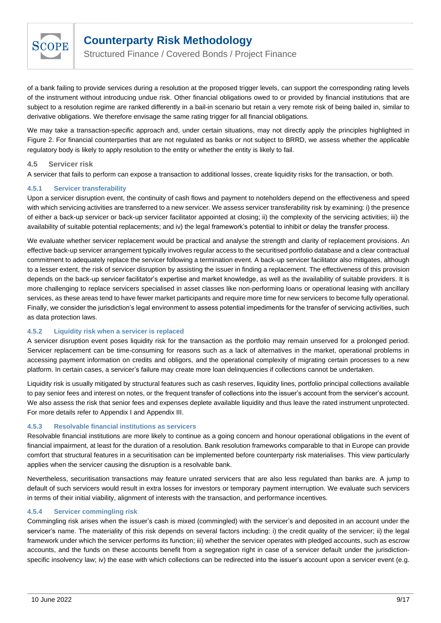

Structured Finance / Covered Bonds / Project Finance

of a bank failing to provide services during a resolution at the proposed trigger levels, can support the corresponding rating levels of the instrument without introducing undue risk. Other financial obligations owed to or provided by financial institutions that are subject to a resolution regime are ranked differently in a bail-in scenario but retain a very remote risk of being bailed in, similar to derivative obligations. We therefore envisage the same rating trigger for all financial obligations.

We may take a transaction-specific approach and, under certain situations, may not directly apply the principles highlighted in [Figure 2.](#page-4-2) For financial counterparties that are not regulated as banks or not subject to BRRD, we assess whether the applicable regulatory body is likely to apply resolution to the entity or whether the entity is likely to fail.

#### <span id="page-8-0"></span>**4.5 Servicer risk**

A servicer that fails to perform can expose a transaction to additional losses, create liquidity risks for the transaction, or both.

#### <span id="page-8-1"></span>**4.5.1 Servicer transferability**

Upon a servicer disruption event, the continuity of cash flows and payment to noteholders depend on the effectiveness and speed with which servicing activities are transferred to a new servicer. We assess servicer transferability risk by examining: i) the presence of either a back-up servicer or back-up servicer facilitator appointed at closing; ii) the complexity of the servicing activities; iii) the availability of suitable potential replacements; and iv) the legal framework's potential to inhibit or delay the transfer process.

We evaluate whether servicer replacement would be practical and analyse the strength and clarity of replacement provisions. An effective back-up servicer arrangement typically involves regular access to the securitised portfolio database and a clear contractual commitment to adequately replace the servicer following a termination event. A back-up servicer facilitator also mitigates, although to a lesser extent, the risk of servicer disruption by assisting the issuer in finding a replacement. The effectiveness of this provision depends on the back-up servicer facilitator's expertise and market knowledge, as well as the availability of suitable providers. It is more challenging to replace servicers specialised in asset classes like non-performing loans or operational leasing with ancillary services, as these areas tend to have fewer market participants and require more time for new servicers to become fully operational. Finally, we consider the jurisdiction's legal environment to assess potential impediments for the transfer of servicing activities, such as data protection laws.

#### <span id="page-8-2"></span>**4.5.2 Liquidity risk when a servicer is replaced**

A servicer disruption event poses liquidity risk for the transaction as the portfolio may remain unserved for a prolonged period. Servicer replacement can be time-consuming for reasons such as a lack of alternatives in the market, operational problems in accessing payment information on credits and obligors, and the operational complexity of migrating certain processes to a new platform. In certain cases, a servicer's failure may create more loan delinquencies if collections cannot be undertaken.

Liquidity risk is usually mitigated by structural features such as cash reserves, liquidity lines, portfolio principal collections available to pay senior fees and interest on notes, or the frequent transfer of collections into the issuer's account from the servicer's account. We also assess the risk that senior fees and expenses deplete available liquidity and thus leave the rated instrument unprotected. For more details refer to [Appendix I](#page-10-0) and [Appendix III.](#page-14-1)

#### <span id="page-8-3"></span>**4.5.3 Resolvable financial institutions as servicers**

Resolvable financial institutions are more likely to continue as a going concern and honour operational obligations in the event of financial impairment, at least for the duration of a resolution. Bank resolution frameworks comparable to that in Europe can provide comfort that structural features in a securitisation can be implemented before counterparty risk materialises. This view particularly applies when the servicer causing the disruption is a resolvable bank.

Nevertheless, securitisation transactions may feature unrated servicers that are also less regulated than banks are. A jump to default of such servicers would result in extra losses for investors or temporary payment interruption. We evaluate such servicers in terms of their initial viability, alignment of interests with the transaction, and performance incentives.

#### <span id="page-8-4"></span>**4.5.4 Servicer commingling risk**

Commingling risk arises when the issuer's cash is mixed (commingled) with the servicer's and deposited in an account under the servicer's name. The materiality of this risk depends on several factors including: i) the credit quality of the servicer; ii) the legal framework under which the servicer performs its function; iii) whether the servicer operates with pledged accounts, such as escrow accounts, and the funds on these accounts benefit from a segregation right in case of a servicer default under the jurisdictionspecific insolvency law; iv) the ease with which collections can be redirected into the issuer's account upon a servicer event (e.g.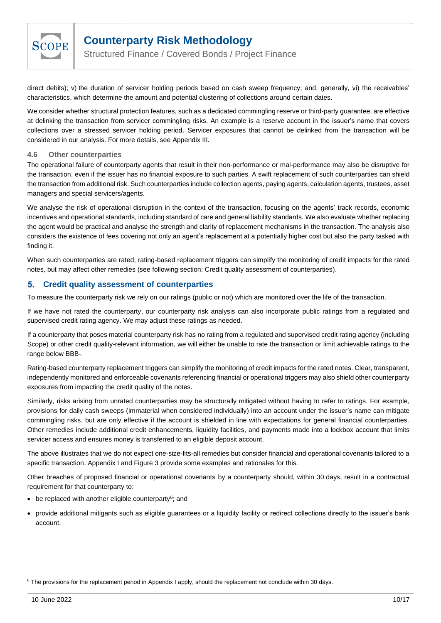

Structured Finance / Covered Bonds / Project Finance

direct debits); v) the duration of servicer holding periods based on cash sweep frequency; and, generally, vi) the receivables' characteristics, which determine the amount and potential clustering of collections around certain dates.

We consider whether structural protection features, such as a dedicated commingling reserve or third-party guarantee, are effective at delinking the transaction from servicer commingling risks. An example is a reserve account in the issuer's name that covers collections over a stressed servicer holding period. Servicer exposures that cannot be delinked from the transaction will be considered in our analysis. For more details, see [Appendix III.](#page-14-1)

#### <span id="page-9-0"></span>**4.6 Other counterparties**

The operational failure of counterparty agents that result in their non-performance or mal-performance may also be disruptive for the transaction, even if the issuer has no financial exposure to such parties. A swift replacement of such counterparties can shield the transaction from additional risk. Such counterparties include collection agents, paying agents, calculation agents, trustees, asset managers and special servicers/agents.

We analyse the risk of operational disruption in the context of the transaction, focusing on the agents' track records, economic incentives and operational standards, including standard of care and general liability standards. We also evaluate whether replacing the agent would be practical and analyse the strength and clarity of replacement mechanisms in the transaction. The analysis also considers the existence of fees covering not only an agent's replacement at a potentially higher cost but also the party tasked with finding it.

When such counterparties are rated, rating-based replacement triggers can simplify the monitoring of credit impacts for the rated notes, but may affect other remedies (see following section: [Credit quality assessment of counterparties\)](#page-9-1).

#### <span id="page-9-1"></span>5. **Credit quality assessment of counterparties**

To measure the counterparty risk we rely on our ratings (public or not) which are monitored over the life of the transaction.

If we have not rated the counterparty, our counterparty risk analysis can also incorporate public ratings from a regulated and supervised credit rating agency. We may adjust these ratings as needed.

If a counterparty that poses material counterparty risk has no rating from a regulated and supervised credit rating agency (including Scope) or other credit quality-relevant information, we will either be unable to rate the transaction or limit achievable ratings to the range below BBB-.

Rating-based counterparty replacement triggers can simplify the monitoring of credit impacts for the rated notes. Clear, transparent, independently monitored and enforceable covenants referencing financial or operational triggers may also shield other counterparty exposures from impacting the credit quality of the notes.

Similarly, risks arising from unrated counterparties may be structurally mitigated without having to refer to ratings. For example, provisions for daily cash sweeps (immaterial when considered individually) into an account under the issuer's name can mitigate commingling risks, but are only effective if the account is shielded in line with expectations for general financial counterparties. Other remedies include additional credit enhancements, liquidity facilities, and payments made into a lockbox account that limits servicer access and ensures money is transferred to an eligible deposit account.

The above illustrates that we do not expect one-size-fits-all remedies but consider financial and operational covenants tailored to a specific transaction[. Appendix I](#page-10-0) and [Figure 3](#page-5-0) provide some examples and rationales for this.

Other breaches of proposed financial or operational covenants by a counterparty should, within 30 days, result in a contractual requirement for that counterparty to:

- be replaced with another eligible counterparty<sup>6</sup>; and
- provide additional mitigants such as eligible guarantees or a liquidity facility or redirect collections directly to the issuer's bank account.

<sup>&</sup>lt;sup>6</sup> The provisions for the replacement period in [Appendix I](#page-10-0) apply, should the replacement not conclude within 30 days.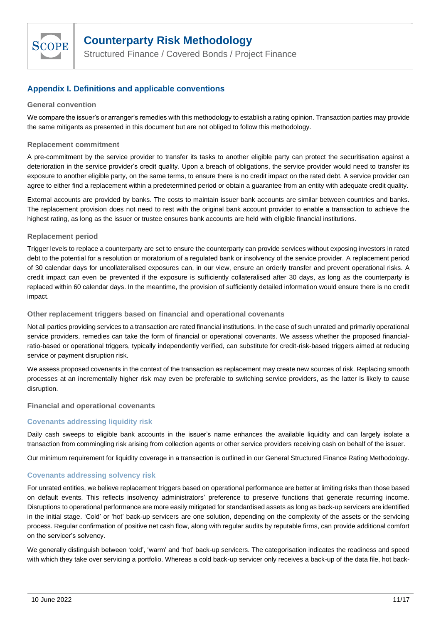

Structured Finance / Covered Bonds / Project Finance

## <span id="page-10-0"></span>**Appendix I. Definitions and applicable conventions**

#### **General convention**

We compare the issuer's or arranger's remedies with this methodology to establish a rating opinion. Transaction parties may provide the same mitigants as presented in this document but are not obliged to follow this methodology.

#### **Replacement commitment**

A pre-commitment by the service provider to transfer its tasks to another eligible party can protect the securitisation against a deterioration in the service provider's credit quality. Upon a breach of obligations, the service provider would need to transfer its exposure to another eligible party, on the same terms, to ensure there is no credit impact on the rated debt. A service provider can agree to either find a replacement within a predetermined period or obtain a guarantee from an entity with adequate credit quality.

External accounts are provided by banks. The costs to maintain issuer bank accounts are similar between countries and banks. The replacement provision does not need to rest with the original bank account provider to enable a transaction to achieve the highest rating, as long as the issuer or trustee ensures bank accounts are held with eligible financial institutions.

#### **Replacement period**

Trigger levels to replace a counterparty are set to ensure the counterparty can provide services without exposing investors in rated debt to the potential for a resolution or moratorium of a regulated bank or insolvency of the service provider. A replacement period of 30 calendar days for uncollateralised exposures can, in our view, ensure an orderly transfer and prevent operational risks. A credit impact can even be prevented if the exposure is sufficiently collateralised after 30 days, as long as the counterparty is replaced within 60 calendar days. In the meantime, the provision of sufficiently detailed information would ensure there is no credit impact.

#### **Other replacement triggers based on financial and operational covenants**

Not all parties providing services to a transaction are rated financial institutions. In the case of such unrated and primarily operational service providers, remedies can take the form of financial or operational covenants. We assess whether the proposed financialratio-based or operational triggers, typically independently verified, can substitute for credit-risk-based triggers aimed at reducing service or payment disruption risk.

We assess proposed covenants in the context of the transaction as replacement may create new sources of risk. Replacing smooth processes at an incrementally higher risk may even be preferable to switching service providers, as the latter is likely to cause disruption.

#### **Financial and operational covenants**

### **Covenants addressing liquidity risk**

Daily cash sweeps to eligible bank accounts in the issuer's name enhances the available liquidity and can largely isolate a transaction from commingling risk arising from collection agents or other service providers receiving cash on behalf of the issuer.

Our minimum requirement for liquidity coverage in a transaction is outlined in our General Structured Finance Rating Methodology.

#### **Covenants addressing solvency risk**

For unrated entities, we believe replacement triggers based on operational performance are better at limiting risks than those based on default events. This reflects insolvency administrators' preference to preserve functions that generate recurring income. Disruptions to operational performance are more easily mitigated for standardised assets as long as back-up servicers are identified in the initial stage. 'Cold' or 'hot' back-up servicers are one solution, depending on the complexity of the assets or the servicing process. Regular confirmation of positive net cash flow, along with regular audits by reputable firms, can provide additional comfort on the servicer's solvency.

We generally distinguish between 'cold', 'warm' and 'hot' back-up servicers. The categorisation indicates the readiness and speed with which they take over servicing a portfolio. Whereas a cold back-up servicer only receives a back-up of the data file, hot back-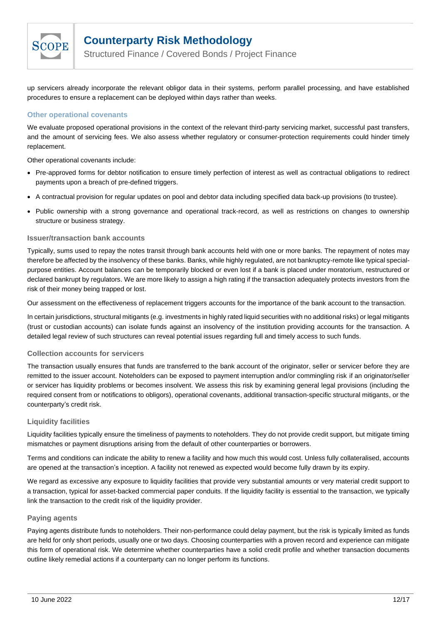

Structured Finance / Covered Bonds / Project Finance

up servicers already incorporate the relevant obligor data in their systems, perform parallel processing, and have established procedures to ensure a replacement can be deployed within days rather than weeks.

#### **Other operational covenants**

We evaluate proposed operational provisions in the context of the relevant third-party servicing market, successful past transfers, and the amount of servicing fees. We also assess whether regulatory or consumer-protection requirements could hinder timely replacement.

Other operational covenants include:

- Pre-approved forms for debtor notification to ensure timely perfection of interest as well as contractual obligations to redirect payments upon a breach of pre-defined triggers.
- A contractual provision for regular updates on pool and debtor data including specified data back-up provisions (to trustee).
- Public ownership with a strong governance and operational track-record, as well as restrictions on changes to ownership structure or business strategy.

#### **Issuer/transaction bank accounts**

Typically, sums used to repay the notes transit through bank accounts held with one or more banks. The repayment of notes may therefore be affected by the insolvency of these banks. Banks, while highly regulated, are not bankruptcy-remote like typical specialpurpose entities. Account balances can be temporarily blocked or even lost if a bank is placed under moratorium, restructured or declared bankrupt by regulators. We are more likely to assign a high rating if the transaction adequately protects investors from the risk of their money being trapped or lost.

Our assessment on the effectiveness of replacement triggers accounts for the importance of the bank account to the transaction.

In certain jurisdictions, structural mitigants (e.g. investments in highly rated liquid securities with no additional risks) or legal mitigants (trust or custodian accounts) can isolate funds against an insolvency of the institution providing accounts for the transaction. A detailed legal review of such structures can reveal potential issues regarding full and timely access to such funds.

#### **Collection accounts for servicers**

The transaction usually ensures that funds are transferred to the bank account of the originator, seller or servicer before they are remitted to the issuer account. Noteholders can be exposed to payment interruption and/or commingling risk if an originator/seller or servicer has liquidity problems or becomes insolvent. We assess this risk by examining general legal provisions (including the required consent from or notifications to obligors), operational covenants, additional transaction-specific structural mitigants, or the counterparty's credit risk.

#### **Liquidity facilities**

Liquidity facilities typically ensure the timeliness of payments to noteholders. They do not provide credit support, but mitigate timing mismatches or payment disruptions arising from the default of other counterparties or borrowers.

Terms and conditions can indicate the ability to renew a facility and how much this would cost. Unless fully collateralised, accounts are opened at the transaction's inception. A facility not renewed as expected would become fully drawn by its expiry.

We regard as excessive any exposure to liquidity facilities that provide very substantial amounts or very material credit support to a transaction, typical for asset-backed commercial paper conduits. If the liquidity facility is essential to the transaction, we typically link the transaction to the credit risk of the liquidity provider.

#### **Paying agents**

Paying agents distribute funds to noteholders. Their non-performance could delay payment, but the risk is typically limited as funds are held for only short periods, usually one or two days. Choosing counterparties with a proven record and experience can mitigate this form of operational risk. We determine whether counterparties have a solid credit profile and whether transaction documents outline likely remedial actions if a counterparty can no longer perform its functions.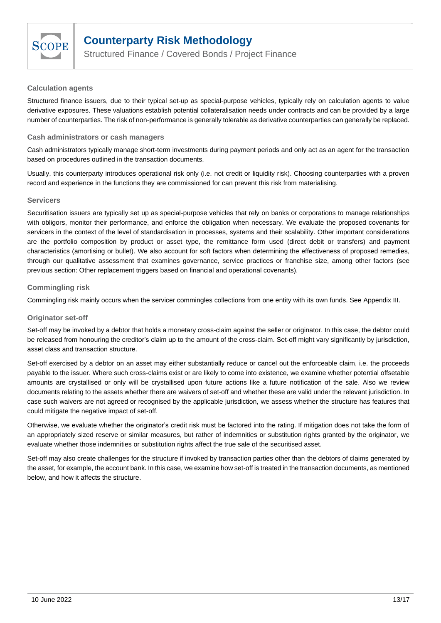

Structured Finance / Covered Bonds / Project Finance

#### **Calculation agents**

Structured finance issuers, due to their typical set-up as special-purpose vehicles, typically rely on calculation agents to value derivative exposures. These valuations establish potential collateralisation needs under contracts and can be provided by a large number of counterparties. The risk of non-performance is generally tolerable as derivative counterparties can generally be replaced.

#### **Cash administrators or cash managers**

Cash administrators typically manage short-term investments during payment periods and only act as an agent for the transaction based on procedures outlined in the transaction documents.

Usually, this counterparty introduces operational risk only (i.e. not credit or liquidity risk). Choosing counterparties with a proven record and experience in the functions they are commissioned for can prevent this risk from materialising.

#### **Servicers**

Securitisation issuers are typically set up as special-purpose vehicles that rely on banks or corporations to manage relationships with obligors, monitor their performance, and enforce the obligation when necessary. We evaluate the proposed covenants for servicers in the context of the level of standardisation in processes, systems and their scalability. Other important considerations are the portfolio composition by product or asset type, the remittance form used (direct debit or transfers) and payment characteristics (amortising or bullet). We also account for soft factors when determining the effectiveness of proposed remedies, through our qualitative assessment that examines governance, service practices or franchise size, among other factors (see previous section: Other replacement triggers based on financial and operational covenants).

#### **Commingling risk**

Commingling risk mainly occurs when the servicer commingles collections from one entity with its own funds. Se[e Appendix III.](#page-14-0)

### **Originator set-off**

Set-off may be invoked by a debtor that holds a monetary cross-claim against the seller or originator. In this case, the debtor could be released from honouring the creditor's claim up to the amount of the cross-claim. Set-off might vary significantly by jurisdiction, asset class and transaction structure.

Set-off exercised by a debtor on an asset may either substantially reduce or cancel out the enforceable claim, i.e. the proceeds payable to the issuer. Where such cross-claims exist or are likely to come into existence, we examine whether potential offsetable amounts are crystallised or only will be crystallised upon future actions like a future notification of the sale. Also we review documents relating to the assets whether there are waivers of set-off and whether these are valid under the relevant jurisdiction. In case such waivers are not agreed or recognised by the applicable jurisdiction, we assess whether the structure has features that could mitigate the negative impact of set-off.

Otherwise, we evaluate whether the originator's credit risk must be factored into the rating. If mitigation does not take the form of an appropriately sized reserve or similar measures, but rather of indemnities or substitution rights granted by the originator, we evaluate whether those indemnities or substitution rights affect the true sale of the securitised asset.

Set-off may also create challenges for the structure if invoked by transaction parties other than the debtors of claims generated by the asset, for example, the account bank. In this case, we examine how set-off is treated in the transaction documents, as mentioned below, and how it affects the structure.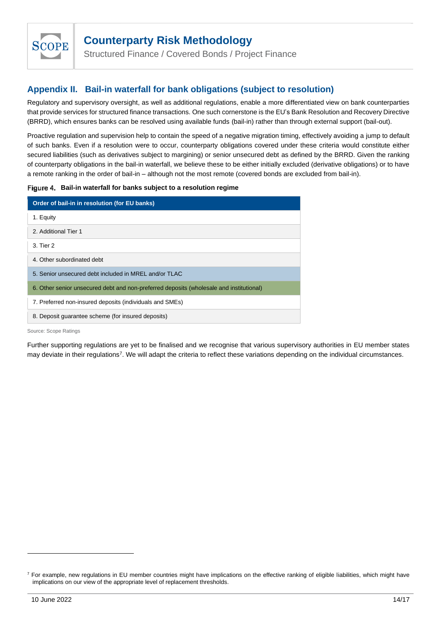

<span id="page-13-1"></span>Structured Finance / Covered Bonds / Project Finance

## <span id="page-13-0"></span>**Appendix II. Bail-in waterfall for bank obligations (subject to resolution)**

Regulatory and supervisory oversight, as well as additional regulations, enable a more differentiated view on bank counterparties that provide services for structured finance transactions. One such cornerstone is the EU's Bank Resolution and Recovery Directive (BRRD), which ensures banks can be resolved using available funds (bail-in) rather than through external support (bail-out).

Proactive regulation and supervision help to contain the speed of a negative migration timing, effectively avoiding a jump to default of such banks. Even if a resolution were to occur, counterparty obligations covered under these criteria would constitute either secured liabilities (such as derivatives subject to margining) or senior unsecured debt as defined by the BRRD. Given the ranking of counterparty obligations in the bail-in waterfall, we believe these to be either initially excluded (derivative obligations) or to have a remote ranking in the order of bail-in – although not the most remote (covered bonds are excluded from bail-in).

#### Figure 4. Bail-in waterfall for banks subject to a resolution regime

| Order of bail-in in resolution (for EU banks)                                           |
|-----------------------------------------------------------------------------------------|
| 1. Equity                                                                               |
| 2. Additional Tier 1                                                                    |
| 3. Tier 2                                                                               |
| 4. Other subordinated debt                                                              |
| 5. Senior unsecured debt included in MREL and/or TLAC                                   |
| 6. Other senior unsecured debt and non-preferred deposits (wholesale and institutional) |
| 7. Preferred non-insured deposits (individuals and SMEs)                                |
| 8. Deposit quarantee scheme (for insured deposits)                                      |

Source: Scope Ratings

Further supporting regulations are yet to be finalised and we recognise that various supervisory authorities in EU member states may deviate in their regulations<sup>7</sup>. We will adapt the criteria to reflect these variations depending on the individual circumstances.

 $<sup>7</sup>$  For example, new regulations in EU member countries might have implications on the effective ranking of eligible liabilities, which might have</sup> implications on our view of the appropriate level of replacement thresholds.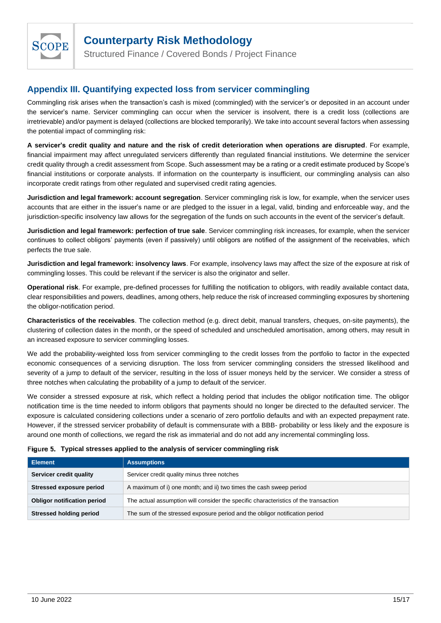

<span id="page-14-1"></span>Structured Finance / Covered Bonds / Project Finance

## <span id="page-14-0"></span>**Appendix III. Quantifying expected loss from servicer commingling**

Commingling risk arises when the transaction's cash is mixed (commingled) with the servicer's or deposited in an account under the servicer's name. Servicer commingling can occur when the servicer is insolvent, there is a credit loss (collections are irretrievable) and/or payment is delayed (collections are blocked temporarily). We take into account several factors when assessing the potential impact of commingling risk:

**A servicer's credit quality and nature and the risk of credit deterioration when operations are disrupted**. For example, financial impairment may affect unregulated servicers differently than regulated financial institutions. We determine the servicer credit quality through a credit assessment from Scope. Such assessment may be a rating or a credit estimate produced by Scope's financial institutions or corporate analysts. If information on the counterparty is insufficient, our commingling analysis can also incorporate credit ratings from other regulated and supervised credit rating agencies.

**Jurisdiction and legal framework: account segregation**. Servicer commingling risk is low, for example, when the servicer uses accounts that are either in the issuer's name or are pledged to the issuer in a legal, valid, binding and enforceable way, and the jurisdiction-specific insolvency law allows for the segregation of the funds on such accounts in the event of the servicer's default.

**Jurisdiction and legal framework: perfection of true sale**. Servicer commingling risk increases, for example, when the servicer continues to collect obligors' payments (even if passively) until obligors are notified of the assignment of the receivables, which perfects the true sale.

**Jurisdiction and legal framework: insolvency laws**. For example, insolvency laws may affect the size of the exposure at risk of commingling losses. This could be relevant if the servicer is also the originator and seller.

**Operational risk**. For example, pre-defined processes for fulfilling the notification to obligors, with readily available contact data, clear responsibilities and powers, deadlines, among others, help reduce the risk of increased commingling exposures by shortening the obligor-notification period.

**Characteristics of the receivables**. The collection method (e.g. direct debit, manual transfers, cheques, on-site payments), the clustering of collection dates in the month, or the speed of scheduled and unscheduled amortisation, among others, may result in an increased exposure to servicer commingling losses.

We add the probability-weighted loss from servicer commingling to the credit losses from the portfolio to factor in the expected economic consequences of a servicing disruption. The loss from servicer commingling considers the stressed likelihood and severity of a jump to default of the servicer, resulting in the loss of issuer moneys held by the servicer. We consider a stress of three notches when calculating the probability of a jump to default of the servicer.

We consider a stressed exposure at risk, which reflect a holding period that includes the obligor notification time. The obligor notification time is the time needed to inform obligors that payments should no longer be directed to the defaulted servicer. The exposure is calculated considering collections under a scenario of zero portfolio defaults and with an expected prepayment rate. However, if the stressed servicer probability of default is commensurate with a BBB- probability or less likely and the exposure is around one month of collections, we regard the risk as immaterial and do not add any incremental commingling loss.

| Figure 5. Typical stresses applied to the analysis of servicer commingling risk |  |  |
|---------------------------------------------------------------------------------|--|--|
|                                                                                 |  |  |

| <b>Element</b>                     | <b>Assumptions</b>                                                                  |
|------------------------------------|-------------------------------------------------------------------------------------|
| Servicer credit quality            | Servicer credit quality minus three notches                                         |
| Stressed exposure period           | A maximum of i) one month; and ii) two times the cash sweep period                  |
| <b>Obligor notification period</b> | The actual assumption will consider the specific characteristics of the transaction |
| <b>Stressed holding period</b>     | The sum of the stressed exposure period and the obligor notification period         |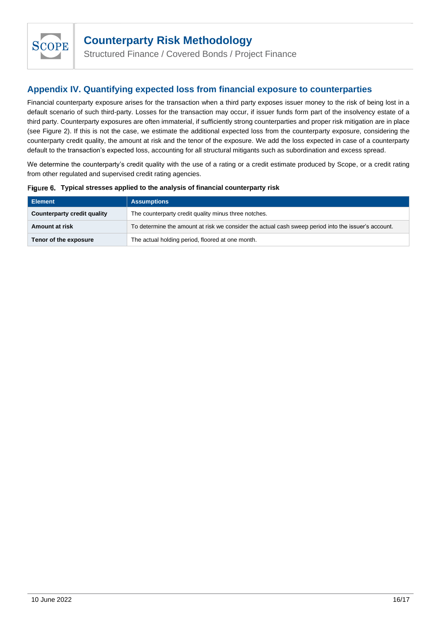

Structured Finance / Covered Bonds / Project Finance

## <span id="page-15-0"></span>**Appendix IV. Quantifying expected loss from financial exposure to counterparties**

Financial counterparty exposure arises for the transaction when a third party exposes issuer money to the risk of being lost in a default scenario of such third-party. Losses for the transaction may occur, if issuer funds form part of the insolvency estate of a third party. Counterparty exposures are often immaterial, if sufficiently strong counterparties and proper risk mitigation are in place (see Figure 2). If this is not the case, we estimate the additional expected loss from the counterparty exposure, considering the counterparty credit quality, the amount at risk and the tenor of the exposure. We add the loss expected in case of a counterparty default to the transaction's expected loss, accounting for all structural mitigants such as subordination and excess spread.

We determine the counterparty's credit quality with the use of a rating or a credit estimate produced by Scope, or a credit rating from other regulated and supervised credit rating agencies.

| Figure 6. Typical stresses applied to the analysis of financial counterparty risk |  |
|-----------------------------------------------------------------------------------|--|
|                                                                                   |  |

| Element                     | <b>Assumptions</b>                                                                                  |
|-----------------------------|-----------------------------------------------------------------------------------------------------|
| Counterparty credit quality | The counterparty credit quality minus three notches.                                                |
| Amount at risk              | To determine the amount at risk we consider the actual cash sweep period into the issuer's account. |
| Tenor of the exposure       | The actual holding period, floored at one month.                                                    |